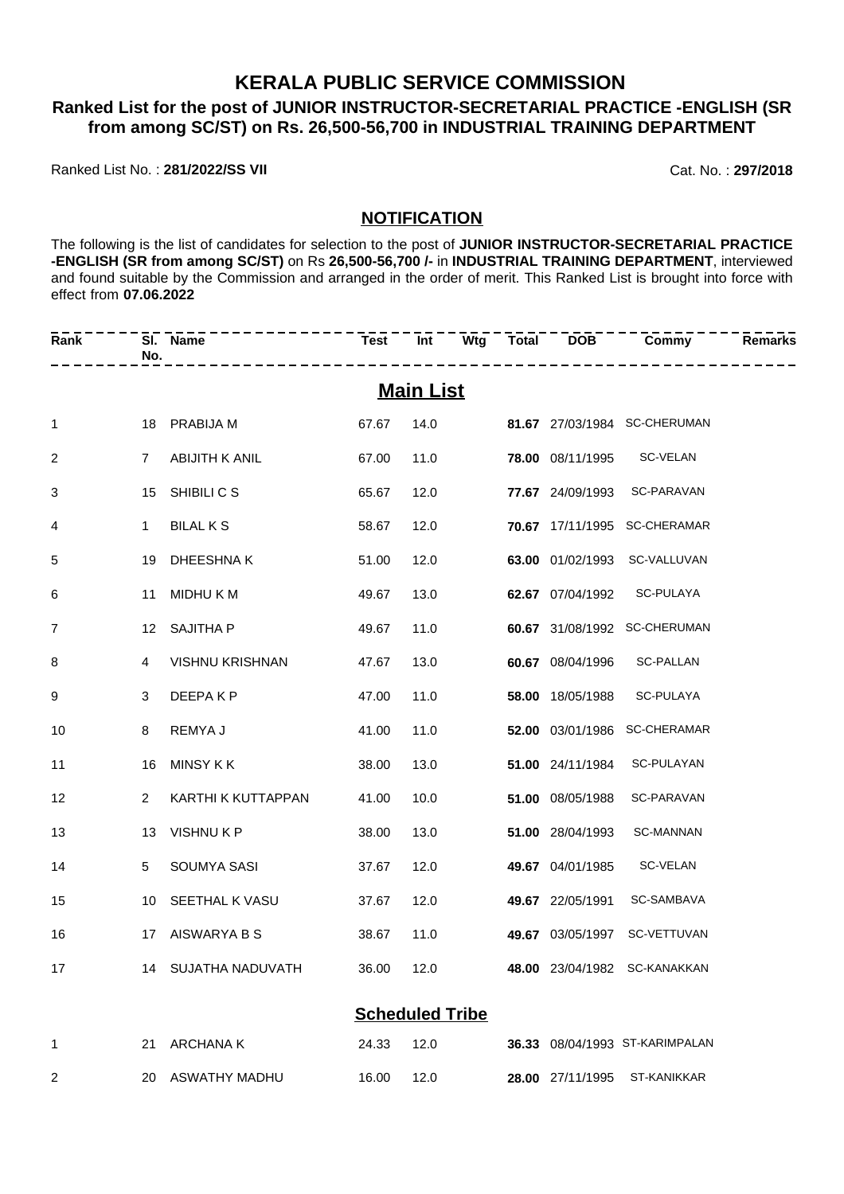## **KERALA PUBLIC SERVICE COMMISSION**

# **Ranked List for the post of JUNIOR INSTRUCTOR-SECRETARIAL PRACTICE -ENGLISH (SR from among SC/ST) on Rs. 26,500-56,700 in INDUSTRIAL TRAINING DEPARTMENT**

Ranked List No. : **281/2022/SS VII** Cat. No. : **297/2018**

### **NOTIFICATION**

The following is the list of candidates for selection to the post of **JUNIOR INSTRUCTOR-SECRETARIAL PRACTICE -ENGLISH (SR from among SC/ST)** on Rs **26,500-56,700 /-** in **INDUSTRIAL TRAINING DEPARTMENT**, interviewed and found suitable by the Commission and arranged in the order of merit. This Ranked List is brought into force with effect from **07.06.2022**

| Rank            | No.            | SI. Name                       |            | ___________________________ |  | _____________                                   | <b>Remarks</b> |
|-----------------|----------------|--------------------------------|------------|-----------------------------|--|-------------------------------------------------|----------------|
|                 |                |                                |            | <b>Main List</b>            |  |                                                 |                |
| $\mathbf{1}$    |                | 18 PRABIJA M                   |            |                             |  | 67.67  14.0    81.67  27/03/1984    SC-CHERUMAN |                |
| 2               |                | 7 ABIJITH K ANIL               | 67.00      | 11.0                        |  | 78.00 08/11/1995 SC-VELAN                       |                |
| 3               | 15             | SHIBILI C S                    | 65.67      | 12.0                        |  | 77.67 24/09/1993 SC-PARAVAN                     |                |
| $\overline{4}$  | 1              | <b>BILAL K S</b>               | 58.67      | 12.0                        |  | 70.67 17/11/1995 SC-CHERAMAR                    |                |
| 5               | 19             | DHEESHNA K                     | 51.00      | 12.0                        |  | 63.00 01/02/1993 SC-VALLUVAN                    |                |
| 6               |                | 11 MIDHU K M                   | 49.67      | 13.0                        |  | 62.67 07/04/1992 SC-PULAYA                      |                |
| $\overline{7}$  |                | 12 SAJITHA P                   | 49.67      | 11.0                        |  | 60.67 31/08/1992 SC-CHERUMAN                    |                |
| 8               | $\overline{4}$ | VISHNU KRISHNAN                | 47.67      | 13.0                        |  | 60.67 08/04/1996 SC-PALLAN                      |                |
| 9               | 3              | DEEPA K P                      | 47.00      | 11.0                        |  | 58.00 18/05/1988 SC-PULAYA                      |                |
| 10              | 8              | REMYA J                        | 41.00      | 11.0                        |  | 52.00 03/01/1986 SC-CHERAMAR                    |                |
| 11              | 16             | MINSY K K                      | 38.00      | 13.0                        |  | 51.00 24/11/1984 SC-PULAYAN                     |                |
| 12 <sup>2</sup> | 2              | KARTHI K KUTTAPPAN             | 41.00      | 10.0                        |  | 51.00 08/05/1988 SC-PARAVAN                     |                |
| 13              | 13             | VISHNU K P                     | 38.00      | 13.0                        |  | 51.00 28/04/1993 SC-MANNAN                      |                |
| 14              |                | 5 SOUMYA SASI                  | 37.67      | 12.0                        |  | 49.67 04/01/1985 SC-VELAN                       |                |
| 15              |                | 10 SEETHAL K VASU              | 37.67      | 12.0                        |  | 49.67 22/05/1991 SC-SAMBAVA                     |                |
| 16              |                | 17 AISWARYA B S                | 38.67 11.0 |                             |  | 49.67 03/05/1997 SC-VETTUVAN                    |                |
| 17              |                | 14 SUJATHA NADUVATH 36.00 12.0 |            |                             |  | 48.00 23/04/1982 SC-KANAKKAN                    |                |
|                 |                |                                |            | <b>Scheduled Tribe</b>      |  |                                                 |                |
| 1               |                | 21 ARCHANA K                   | 24.33      | 12.0                        |  | 36.33 08/04/1993 ST-KARIMPALAN                  |                |
| $\overline{c}$  |                | 20 ASWATHY MADHU               | 16.00      | 12.0                        |  | 28.00 27/11/1995 ST-KANIKKAR                    |                |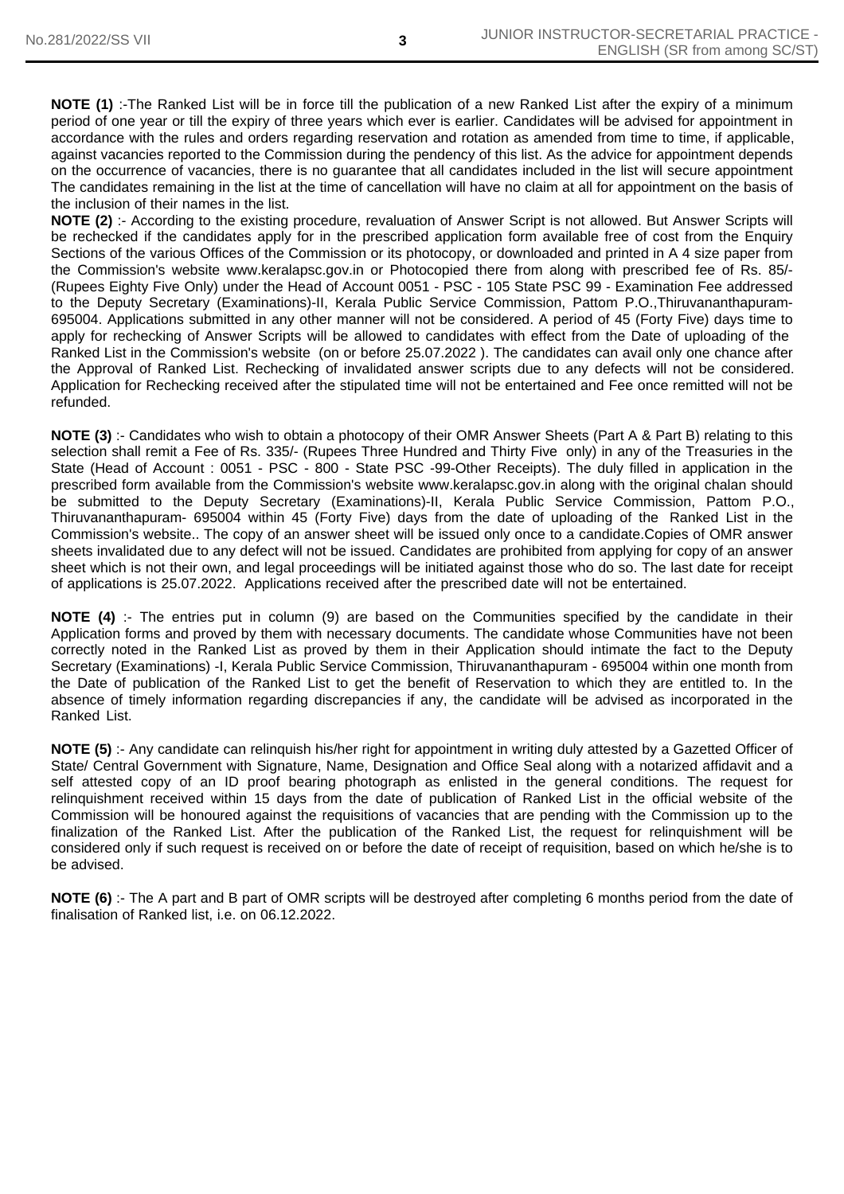**NOTE (1)** :-The Ranked List will be in force till the publication of a new Ranked List after the expiry of a minimum period of one year or till the expiry of three years which ever is earlier. Candidates will be advised for appointment in accordance with the rules and orders regarding reservation and rotation as amended from time to time, if applicable, against vacancies reported to the Commission during the pendency of this list. As the advice for appointment depends on the occurrence of vacancies, there is no guarantee that all candidates included in the list will secure appointment The candidates remaining in the list at the time of cancellation will have no claim at all for appointment on the basis of the inclusion of their names in the list.

**NOTE (2)** :- According to the existing procedure, revaluation of Answer Script is not allowed. But Answer Scripts will be rechecked if the candidates apply for in the prescribed application form available free of cost from the Enquiry Sections of the various Offices of the Commission or its photocopy, or downloaded and printed in A 4 size paper from the Commission's website www.keralapsc.gov.in or Photocopied there from along with prescribed fee of Rs. 85/- (Rupees Eighty Five Only) under the Head of Account 0051 - PSC - 105 State PSC 99 - Examination Fee addressed to the Deputy Secretary (Examinations)-II, Kerala Public Service Commission, Pattom P.O.,Thiruvananthapuram-695004. Applications submitted in any other manner will not be considered. A period of 45 (Forty Five) days time to apply for rechecking of Answer Scripts will be allowed to candidates with effect from the Date of uploading of the Ranked List in the Commission's website (on or before 25.07.2022 ). The candidates can avail only one chance after the Approval of Ranked List. Rechecking of invalidated answer scripts due to any defects will not be considered. Application for Rechecking received after the stipulated time will not be entertained and Fee once remitted will not be refunded.

**NOTE (3)** :- Candidates who wish to obtain a photocopy of their OMR Answer Sheets (Part A & Part B) relating to this selection shall remit a Fee of Rs. 335/- (Rupees Three Hundred and Thirty Five only) in any of the Treasuries in the State (Head of Account : 0051 - PSC - 800 - State PSC -99-Other Receipts). The duly filled in application in the prescribed form available from the Commission's website www.keralapsc.gov.in along with the original chalan should be submitted to the Deputy Secretary (Examinations)-II, Kerala Public Service Commission, Pattom P.O., Thiruvananthapuram- 695004 within 45 (Forty Five) days from the date of uploading of the Ranked List in the Commission's website.. The copy of an answer sheet will be issued only once to a candidate.Copies of OMR answer sheets invalidated due to any defect will not be issued. Candidates are prohibited from applying for copy of an answer sheet which is not their own, and legal proceedings will be initiated against those who do so. The last date for receipt of applications is 25.07.2022. Applications received after the prescribed date will not be entertained.

**NOTE (4)** :- The entries put in column (9) are based on the Communities specified by the candidate in their Application forms and proved by them with necessary documents. The candidate whose Communities have not been correctly noted in the Ranked List as proved by them in their Application should intimate the fact to the Deputy Secretary (Examinations) -I, Kerala Public Service Commission, Thiruvananthapuram - 695004 within one month from the Date of publication of the Ranked List to get the benefit of Reservation to which they are entitled to. In the absence of timely information regarding discrepancies if any, the candidate will be advised as incorporated in the Ranked List.

**NOTE (5)** :- Any candidate can relinquish his/her right for appointment in writing duly attested by a Gazetted Officer of State/ Central Government with Signature, Name, Designation and Office Seal along with a notarized affidavit and a self attested copy of an ID proof bearing photograph as enlisted in the general conditions. The request for relinquishment received within 15 days from the date of publication of Ranked List in the official website of the Commission will be honoured against the requisitions of vacancies that are pending with the Commission up to the finalization of the Ranked List. After the publication of the Ranked List, the request for relinquishment will be considered only if such request is received on or before the date of receipt of requisition, based on which he/she is to be advised.

**NOTE (6)** :- The A part and B part of OMR scripts will be destroyed after completing 6 months period from the date of finalisation of Ranked list, i.e. on 06.12.2022.